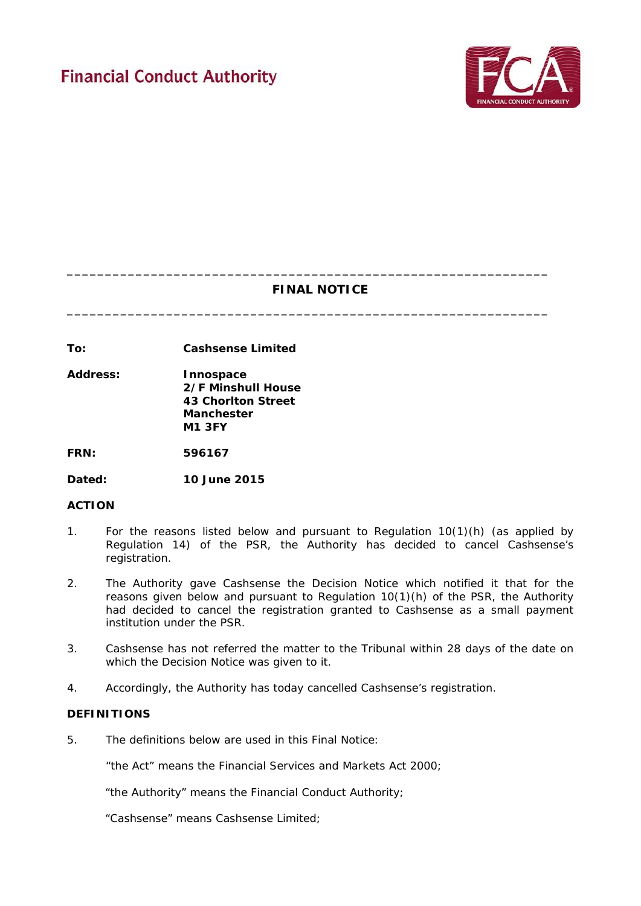

# **FINAL NOTICE**

**\_\_\_\_\_\_\_\_\_\_\_\_\_\_\_\_\_\_\_\_\_\_\_\_\_\_\_\_\_\_\_\_\_\_\_\_\_\_\_\_\_\_\_\_\_\_\_\_\_\_\_\_\_\_\_\_\_\_\_\_\_\_\_**

**\_\_\_\_\_\_\_\_\_\_\_\_\_\_\_\_\_\_\_\_\_\_\_\_\_\_\_\_\_\_\_\_\_\_\_\_\_\_\_\_\_\_\_\_\_\_\_\_\_\_\_\_\_\_\_\_\_\_\_\_\_\_\_**

**To: Cashsense Limited**

**Address: Innospace 2/F Minshull House 43 Chorlton Street Manchester M1 3FY**

**FRN: 596167**

**Dated: 10 June 2015**

## **ACTION**

- 1. For the reasons listed below and pursuant to Regulation 10(1)(h) (as applied by Regulation 14) of the PSR, the Authority has decided to cancel Cashsense's registration.
- 2. The Authority gave Cashsense the Decision Notice which notified it that for the reasons given below and pursuant to Regulation 10(1)(h) of the PSR, the Authority had decided to cancel the registration granted to Cashsense as a small payment institution under the PSR.
- 3. Cashsense has not referred the matter to the Tribunal within 28 days of the date on which the Decision Notice was given to it.
- 4. Accordingly, the Authority has today cancelled Cashsense's registration.

## **DEFINITIONS**

5. The definitions below are used in this Final Notice:

"the Act" means the Financial Services and Markets Act 2000;

"the Authority" means the Financial Conduct Authority;

"Cashsense" means Cashsense Limited;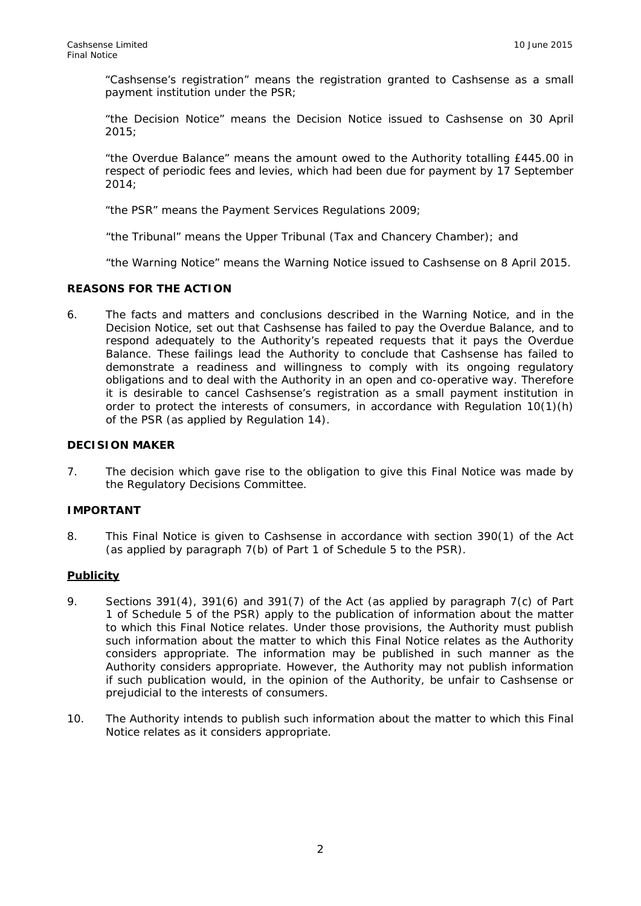"Cashsense's registration" means the registration granted to Cashsense as a small payment institution under the PSR;

"the Decision Notice" means the Decision Notice issued to Cashsense on 30 April 2015;

"the Overdue Balance" means the amount owed to the Authority totalling £445.00 in respect of periodic fees and levies, which had been due for payment by 17 September 2014;

"the PSR" means the Payment Services Regulations 2009;

"the Tribunal" means the Upper Tribunal (Tax and Chancery Chamber); and

"the Warning Notice" means the Warning Notice issued to Cashsense on 8 April 2015.

## **REASONS FOR THE ACTION**

6. The facts and matters and conclusions described in the Warning Notice, and in the Decision Notice, set out that Cashsense has failed to pay the Overdue Balance, and to respond adequately to the Authority's repeated requests that it pays the Overdue Balance. These failings lead the Authority to conclude that Cashsense has failed to demonstrate a readiness and willingness to comply with its ongoing regulatory obligations and to deal with the Authority in an open and co-operative way. Therefore it is desirable to cancel Cashsense's registration as a small payment institution in order to protect the interests of consumers, in accordance with Regulation 10(1)(h) of the PSR (as applied by Regulation 14).

## **DECISION MAKER**

7. The decision which gave rise to the obligation to give this Final Notice was made by the Regulatory Decisions Committee.

## **IMPORTANT**

8. This Final Notice is given to Cashsense in accordance with section 390(1) of the Act (as applied by paragraph 7(b) of Part 1 of Schedule 5 to the PSR).

## **Publicity**

- 9. Sections 391(4), 391(6) and 391(7) of the Act (as applied by paragraph 7(c) of Part 1 of Schedule 5 of the PSR) apply to the publication of information about the matter to which this Final Notice relates. Under those provisions, the Authority must publish such information about the matter to which this Final Notice relates as the Authority considers appropriate. The information may be published in such manner as the Authority considers appropriate. However, the Authority may not publish information if such publication would, in the opinion of the Authority, be unfair to Cashsense or prejudicial to the interests of consumers.
- 10. The Authority intends to publish such information about the matter to which this Final Notice relates as it considers appropriate.